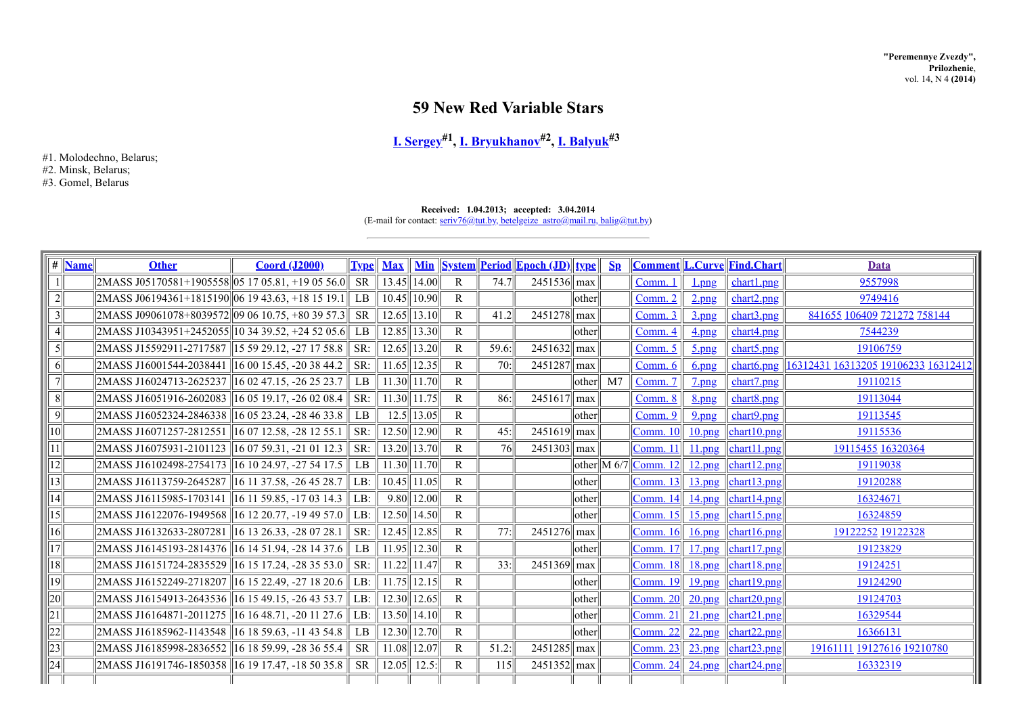# **59 New Red Variable Stars**

## **I. [Sergey](http://www.astronet.ru/builder/preview/www.astronet.ru/db/varstars/author/12032) #1 , I. [Bryukhanov](http://www.astronet.ru/builder/preview/www.astronet.ru/db/varstars/author/15068) #2 , I. [Balyuk](http://www.astronet.ru/builder/preview/www.astronet.ru/db/varstars/author/17938) #3**

#1. Molodechno, Belarus; #2. Minsk, Belarus; #3. Gomel, Belarus

#### **Received: 1.04.2013; accepted: 3.04.2014**

(E-mail for contact:  $\frac{\text{serv76@tut.by, betelgeize} \text{ astro@mail.ru, } \text{balig@tut.by}}{2}$ 

| #               | <b>Name</b> | <b>Other</b>                                       | <b>Coord (J2000)</b>                       |                 | <b>Type</b> Max  |             |              |       | <u>Min System Period Epoch (JD) type</u> |                 | $\mathbf{Sp}$  |                                                                                              |                    | <b>Comment L.Curve Find.Chart</b>                            | Data                                             |
|-----------------|-------------|----------------------------------------------------|--------------------------------------------|-----------------|------------------|-------------|--------------|-------|------------------------------------------|-----------------|----------------|----------------------------------------------------------------------------------------------|--------------------|--------------------------------------------------------------|--------------------------------------------------|
|                 |             | $2MASS$ J05170581+1905558 05 17 05.81, +19 05 56.0 |                                            | <b>SR</b>       | 13.45            | $\ 14.00\ $ | $\mathbb{R}$ | 74.7  | $2451536$ max                            |                 |                | Comm. 1                                                                                      | $_{\frac{1}{2}}$   | chart1.png                                                   | 9557998                                          |
|                 |             | $2MASS$ J06194361+1815190 06 19 43.63, +18 15 19.1 |                                            | $L\overline{B}$ | 10.45            | 10.90       | $\mathsf{R}$ |       |                                          | other           |                | Comm. 2                                                                                      | $2$ .png           | chart2.png                                                   | 9749416                                          |
| 3               |             | $2MASS$ J09061078+8039572 09 06 10.75, +80 39 57.3 |                                            | <b>SR</b>       | 12.65            | 13.10       | R            | 41.2  | 2451278 max                              |                 |                | Comm. 3                                                                                      | $3$ .png           | chart3.png                                                   | 841655 106409 721272 758144                      |
|                 |             | 2MASS J10343951+2452055 10 34 39.52, +24 52 05.6   |                                            | $L_{\rm{B}}$    | 12.85            | 13.30       | $\mathsf{R}$ |       |                                          | lother          |                | Comm. 4                                                                                      | $4$ png            | chart4.png                                                   | 7544239                                          |
|                 |             | 2MASS J15592911-2717587   15 59 29.12, -27 17 58.8 |                                            | SR:             | 12.65            | 13.20       | $\mathbb{R}$ | 59.6: | 2451632                                  | max             |                | Comm. 5                                                                                      | $5$ .png           | chart5.png                                                   | 19106759                                         |
| 6               |             | 2MASS J16001544-2038441                            | $\parallel$ 16 00 15.45, -20 38 44.2       | SR:             | 11.65            | 12.35       | R            | 70:   | 2451287                                  | max             |                | Comm. 6                                                                                      | $6.$ png           |                                                              | chart6.png   16312431 16313205 19106233 16312412 |
|                 |             | 2MASS J16024713-2625237                            | $160247.15, -262523.7$                     | LB              | $11.30$    11.70 |             | R            |       |                                          | other           | M <sub>7</sub> | Comm. 7                                                                                      | $2$ <sub>png</sub> | chart7.png                                                   | 19110215                                         |
| 8               |             | 2MASS J16051916-2602083                            | 16 05 19.17, -26 02 08.4                   | SR:             | $11.30$    11.75 |             | $\mathbb{R}$ | 86:   | 2451617                                  | $\parallel$ max |                | Comm. 8                                                                                      | <u>8.png</u>       | chart8.png                                                   | 19113044                                         |
| $\vert 9 \vert$ |             | 2MASS J16052324-2846338                            | $\parallel$ 16 05 23.24, -28 46 33.8       | LB.             | 12.5             | 13.05       | $\mathbf{R}$ |       |                                          | other           |                | Comm. 9                                                                                      | $9$ .png           | chart9.png                                                   | 19113545                                         |
| $\overline{10}$ |             | 2MASS J16071257-2812551                            | $\parallel$ 16 07 12.58, -28 12 55.1       | SR:             | $12.50$    12.90 |             | $\mathbf{R}$ | 45:   | $2451619$ max                            |                 |                | [Comm. 10]                                                                                   | $10$ .png          | chart10.png                                                  | 19115536                                         |
| 11              |             | 2MASS J16075931-2101123                            | $\left 16\,07\,59.31\right $ , -21 01 12.3 | SR:             | $13.20$    13.70 |             | $\mathbb{R}$ | 76    | $2451303$ max                            |                 |                | <b>Comm. 11</b>                                                                              | $11$ .png          | chart11.png                                                  | 19115455 16320364                                |
| 2               |             | 2MASS J16102498-2754173 16 10 24.97, -27 54 17.5   |                                            | L <sub>B</sub>  | $11.30$    11.70 |             | $\mathsf{R}$ |       |                                          |                 |                | $\left  \text{other} \right  \left  M\right  6/7 \left  \underline{\text{Comm. 12}} \right $ | 12.png             | chart12.png                                                  | 19119038                                         |
| $\vert 3 \vert$ |             | 2MASS J16113759-2645287                            | $\parallel$ 16 11 37.58, -26 45 28.7       | LB:             | $10.45$   11.05  |             | $\mathbb{R}$ |       |                                          | other           |                | Comm. 13                                                                                     | 13.png             | char13.png                                                   | 19120288                                         |
| 14              |             | 2MASS J16115985-1703141                            | 16 11 59.85, -17 03 14.3                   | LB:             | 9.80             | 12.00       | $\mathbb{R}$ |       |                                          | lother          |                | Comm. 14                                                                                     | 14.png             | char14.png                                                   | 16324671                                         |
| 5               |             | 2MASS J16122076-1949568                            | 16 12 20.77, -19 49 57.0                   | LB:             | $12.50$    14.50 |             | R            |       |                                          | lother          |                | Comm. 15                                                                                     | $15$ .png          | $\left  \frac{\text{chart15.png}}{\text{char15.png}}$        | 16324859                                         |
| 16              |             | 2MASS J16132633-2807281                            | 16 13 26.33, -28 07 28.1                   | SR:             | 12.45            | 12.85       | $\mathbb{R}$ | 77:   | 2451276                                  | max             |                | Comm. 16                                                                                     | <u>16.png</u>      | $\left  \frac{\text{chart16.png}}{\text{char16.png}}\right $ | 19122252 19122328                                |
| 17              |             | 2MASS J16145193-2814376                            | 16 14 51 94, -28 14 37.6                   | LB              | $11.95$   12.30  |             | R            |       |                                          | lother          |                | Comm. 17                                                                                     | $17$ png           | $\left  \frac{\text{chart17, png}}{\text{chart17}} \right $  | 19123829                                         |
| 18              |             | 2MASS J16151724-2835529                            | $16$ 15 17.24, -28 35 53.0                 | SR:             | $11.22$    11.47 |             | $\mathbb{R}$ | 33:   | 2451369                                  | max             |                | Comm. 18                                                                                     | <u>18.png</u>      | $\left  \frac{\text{chart18.png}}{\text{right}}$             | 19124251                                         |
| 19              |             | 2MASS J16152249-2718207                            | 16 15 22.49, -27 18 20.6                   | LB:             | $11.75$   12.15  |             | $\mathbb{R}$ |       |                                          | other           |                | Comm. $19$                                                                                   | <u>19.png</u>      | $ $ chart19.png                                              | 19124290                                         |
| 20              |             | 2MASS J16154913-2643536 16 15 49.15, -26 43 53.7   |                                            | LB:             | $12.30$    12.65 |             | R            |       |                                          | other           |                | Comm. 20                                                                                     | $20$ .png          | chart20.png                                                  | 19124703                                         |
| $\overline{21}$ |             | 2MASS J16164871-2011275                            | 16 16 48.71, -20 11 27.6                   | LB:             | $13.50$    14.10 |             | $\mathsf{R}$ |       |                                          | other           |                | Comm. 21                                                                                     | 21.png             | char <sub>1.png</sub>                                        | 16329544                                         |
| $\overline{22}$ |             | 2MASS J16185962-1143548   16 18 59.63, -11 43 54.8 |                                            | $L\overline{B}$ | $12.30$    12.70 |             | R            |       |                                          | lother          |                | Comm. 22                                                                                     | 22.png             | chart22.png                                                  | 16366131                                         |
| 23              |             | 2MASS J16185998-2836552 16 18 59.99, -28 36 55.4   |                                            | <b>SR</b>       | 11.08            | 12.07       | $\mathbb{R}$ | 51.2: | 2451285                                  | $\parallel$ max |                | Comm. 23                                                                                     | $23$ .png          | char <sub>123.png</sub>                                      | 19161111 19127616 19210780                       |
| 24              |             | 2MASS J16191746-1850358 16 19 17.47, -18 50 35.8   |                                            | <b>SR</b>       | 12.05            | 12.5        | R            | 115   | 2451352 max                              |                 |                | $\boxed{\text{Comm. 24}}$ 24.png                                                             |                    | chart24.png                                                  | 16332319                                         |
|                 |             |                                                    |                                            |                 |                  |             |              |       |                                          |                 |                |                                                                                              |                    |                                                              |                                                  |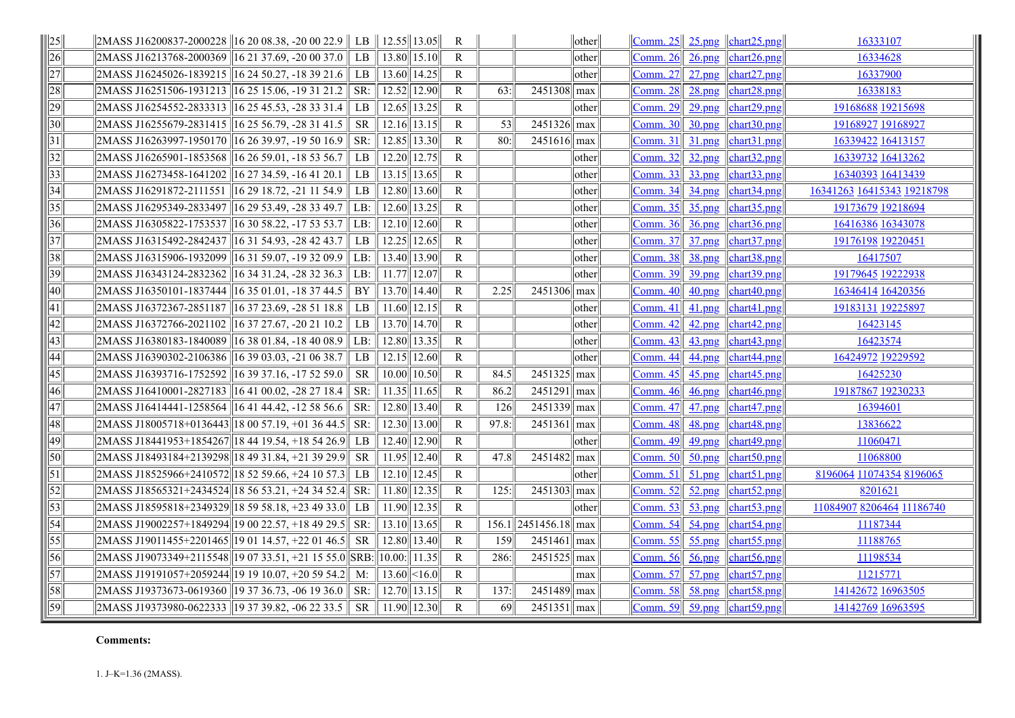| $\parallel 25 \parallel$ | $2MASS\,J16200837-2000228\,  16\,20\,08.38, -20\,00\,22.9\,  \,LB$ |           | $12.55$   13.05                       |       | R            |                 |                            | $\vert\vert$ other $\vert\vert$ | $\vert$ Comm. 25 $\vert$ 25.png $\vert$ chart25.png $\vert$ |               |                                                                      | 16333107                   |
|--------------------------|--------------------------------------------------------------------|-----------|---------------------------------------|-------|--------------|-----------------|----------------------------|---------------------------------|-------------------------------------------------------------|---------------|----------------------------------------------------------------------|----------------------------|
| $\overline{26}$          | 2MASS J16213768-2000369 16 21 37.69, -20 00 37.0 LB                |           | $13.80$   15.10                       |       | $\mathbb{R}$ |                 |                            | other                           | Comm. $26$                                                  | $26$ .png     | char <sub>126.png</sub>                                              | 16334628                   |
| 27                       | 2MASS J16245026-1839215 16 24 50.27, -18 39 21.6                   | LB        | $13.60$    14.25                      |       | $\mathbb{R}$ |                 |                            | other                           | <b>Comm. 27</b>                                             | $27$ .png     | chart27.png                                                          | 16337900                   |
| $\overline{28}$          | 2MASS J16251506-1931213 16 25 15.06, -19 31 21.2                   | SR:       | 12.52                                 | 12.90 | $\mathbb{R}$ | 63:             | $2451308$ max              |                                 | <b>Comm. 28</b>                                             | $28$ .png     | char <sub>128.png</sub>                                              | 16338183                   |
| $\overline{29}$          | 2MASS J16254552-2833313 16 25 45.53, -28 33 31.4                   | LB        | 12.65                                 | 13.25 | R            |                 |                            | other                           | <b>Comm. 29</b>                                             | $29$ .png     | chart29.png                                                          | 19168688 19215698          |
| $\overline{30}$          | 2MASS J16255679-2831415   16 25 56.79, -28 31 41.5                 | <b>SR</b> | $12.16$    13.15                      |       | R            | 53              | $\sqrt{2451326}$ max       |                                 | Comm. 30                                                    | $30$ .png     | char <sub>130.png</sub>                                              | 19168927 19168927          |
| $\sqrt{31}$              | 2MASS J16263997-1950170 16 26 39.97, -19 50 16.9                   | SR:       | $12.85$   13.30                       |       | $\mathbb{R}$ | 80:             | $2451616$ max              |                                 | Comm. 31                                                    | $31$ .png     | char131.png                                                          | 16339422 16413157          |
| $\overline{32}$          | 2MASS J16265901-1853568   16 26 59.01, -18 53 56.7                 | LB        | 12.20                                 | 12.75 | R            |                 |                            | other                           | <b>Comm. 32</b>                                             | $32$ .png     | chart32.png                                                          | 16339732 16413262          |
| $\overline{33}$          | 2MASS J16273458-1641202   16 27 34.59, -16 41 20.1                 | LB        | $13.15$   13.65                       |       | R            |                 |                            | other                           | Comm. 33                                                    | $33$ .png     | chart33.png                                                          | 16340393 16413439          |
| $\overline{34}$          | 2MASS J16291872-2111551   16 29 18.72, -21 11 54.9                 | LB        | $12.80$    13.60                      |       | R            |                 |                            | other                           | Comm. $34$                                                  | 34.png        | char <sub>134.png</sub>                                              | 16341263 16415343 19218798 |
| $\overline{35}$          | 2MASS J16295349-2833497 16 29 53.49, -28 33 49.7                   | LB:       | 12.60                                 | 13.25 | $\mathbf{R}$ |                 |                            | other                           | <b>Comm. 35</b>                                             | $35$ .png     | char <sub>135.png</sub>                                              | 19173679 19218694          |
| $\overline{36}$          | 2MASS J16305822-1753537   16 30 58.22, -17 53 53.7                 | LB:       | 12.10                                 | 12.60 | $\mathbb{R}$ |                 |                            | other                           | <b>Comm. 36</b>                                             | $36$ .png     | chart36.png                                                          | 16416386 16343078          |
| $\overline{37}$          | 2MASS J16315492-2842437   16 31 54.93, -28 42 43.7                 | LB        | 12.25                                 | 12.65 | $\mathbb{R}$ |                 |                            | other                           | <b>Comm.</b> 37                                             | $37$ .png     | char <sub>137.png</sub>                                              | 19176198 19220451          |
| $\overline{38}$          | 2MASS J16315906-1932099 16 31 59.07, -19 32 09.9                   | LB:       | 13.40                                 | 13.90 | $\mathbb{R}$ |                 |                            | other                           | <b>Comm. 38</b>                                             | <u>38.png</u> | chart38.png                                                          | 16417507                   |
| $\overline{39}$          | 2MASS J16343124-2832362 16 34 31.24, -28 32 36.3                   | LB:       | 11.77                                 | 12.07 | $\mathbb{R}$ |                 |                            | other                           | Comm. 39                                                    | 39.png        | char <sub>139.png</sub>                                              | 19179645 19222938          |
| $\overline{40}$          | 2MASS J16350101-1837444 16 35 01.01, -18 37 44.5                   | BY        | $13.70$    14.40                      |       | $\mathsf{R}$ | 2.25            | $2451306$ max              |                                 | Comm. 40                                                    | $40$ .png     | chart40.png                                                          | 16346414 16420356          |
| $\sqrt{41}$              | 2MASS J16372367-2851187   16 37 23.69, -28 51 18.8                 | LB        | $11.60$    12.15                      |       | R            |                 |                            | other                           | Comm. $41$                                                  | $41$ .png     | $\lfloor \frac{\text{chart41} \cdot \text{png}}{\text{png}} \rfloor$ | 19183131 19225897          |
| $\overline{42}$          | 2MASS J16372766-2021102 16 37 27.67, -20 21 10.2                   | LB.       | 13.70 14.70                           |       | $\mathbf{R}$ |                 |                            | other                           | Comm. $42$                                                  | $42$ .png     | chart42.png                                                          | 16423145                   |
| $\sqrt{43}$              | 2MASS J16380183-1840089   16 38 01.84, -18 40 08.9                 | LB:       | $\overline{12.80}$ $\overline{13.35}$ |       | $\mathbf{R}$ |                 |                            | other                           | Comm. $43$                                                  | 43.png        | chart43.png                                                          | 16423574                   |
| $\sqrt{44}$              | 2MASS J16390302-2106386 16 39 03.03, -21 06 38.7                   | LB        | 12.15                                 | 12.60 | R            |                 |                            | other                           | Comm. $44$                                                  | 44.png        | chart44.png                                                          | 16424972 19229592          |
| $\overline{45}$          | 2MASS J16393716-1752592 16 39 37.16, -17 52 59.0                   | <b>SR</b> | 10.00                                 | 10.50 | R            | 84.5            | $2451325$ max              |                                 | <b>Comm. 45</b>                                             | 45.png        | chart45.png                                                          | 16425230                   |
| 46                       | 2MASS J16410001-2827183 16 41 00.02, -28 27 18.4                   | SR:       | 11.35                                 | 11.65 | $\mathbb{R}$ | 86.2            | $2451291$ max              |                                 | <b>Comm. 46</b>                                             | $46$ .png     | chart46.png                                                          | 19187867 19230233          |
| $\sqrt{47}$              | 2MASS J16414441-1258564 16 41 44.42, -12 58 56.6                   | SR:       | 12.80                                 | 13.40 | $\mathbb{R}$ | 126             | 2451339 max                |                                 | Comm. 47                                                    | $47$ .png     | chart47.png                                                          | 16394601                   |
| 48                       | $2MASS$ J18005718+0136443 18 00 57.19, +01 36 44.5 $\parallel$ SR: |           | $12.30$    13.00                      |       | $\mathbb{R}$ | 97.8:           | $2451361$ max              |                                 | Comm. 48                                                    | $48$ .png     | chart48.png                                                          | 13836622                   |
| 49                       | $2MASS$ J18441953+1854267 18 44 19.54, +18 54 26.9 LB              |           | 12.40                                 | 12.90 | R            |                 |                            | other                           | Comm. 49                                                    | $49$ .png     | chart49.png                                                          | 11060471                   |
| $\overline{50}$          | 2MASS J18493184+2139298 18 49 31.84, +21 39 29.9                   | <b>SR</b> | 11.95                                 | 12.40 | R            | 47.8            | $2451482$ max              |                                 | Comm. 50                                                    | 50.png        | chart50.png                                                          | 11068800                   |
| $\overline{51}$          | 2MASS J18525966+2410572  18 52 59.66, +24 10 57.3   LB             |           | $12.10$    12.45                      |       | R            |                 |                            | other                           | Comm. $51$                                                  | $51$ .png     | chart51.png                                                          | 8196064 11074354 8196065   |
| $\overline{52}$          | $2MASS$ J18565321+2434524 18 56 53.21, +24 34 52.4 SR:             |           | 11.80                                 | 12.35 | $\mathbb{R}$ | 125:            | $2451303$ max              |                                 | <b>Comm. 52</b>                                             | $52$ .png     | char <sub>52.png</sub>                                               | 8201621                    |
| $\overline{53}$          | $2MASS$ J18595818+2349329 18 59 58.18, +23 49 33.0                 | LB.       | 11.90                                 | 12.35 | R            |                 |                            | other                           | Comm. $53$                                                  | $53$ .png     | char <sub>153.png</sub>                                              | 11084907 8206464 11186740  |
| $\overline{54}$          | 2MASS J19002257+1849294 19 00 22.57, +18 49 29.5                   | SR:       | 13.10                                 | 13.65 | R            |                 | $156.1$   2451456.18   max |                                 | Comm. $54$                                                  | 54.png        | chart54.png                                                          | 11187344                   |
| $\overline{55}$          | 2MASS J19011455+2201465 19 01 14.57, +22 01 46.5                   | <b>SR</b> | 12.80                                 | 13.40 | R            | 159             | $2451461$ max              |                                 | Comm. $55$                                                  | $55$ .png     | char <sub>155.png</sub>                                              | 11188765                   |
| $\overline{56}$          | 2MASS J19073349+2115548  19 07 33.51, +21 15 55.0  SRB:            |           | 10.00:                                | 11.35 | R            | 286:            | $\sqrt{2451525}$ max       |                                 | <b>Comm. 56</b>                                             | 56.png        | chart56.png                                                          | 11198534                   |
| $\overline{57}$          | $2MASS$ J19191057+2059244  19 19 10.07, +20 59 54.2   M:           |           | $13.60$   <16.0                       |       | R            |                 |                            | max                             | <b>Comm. 57</b>                                             | 57.png        | $\left  \right $ chart57.png                                         | 11215771                   |
| $\overline{58}$          | 2MASS J19373673-0619360 19 37 36.73, -06 19 36.0                   | SR:       | 12.70                                 | 13.15 | $\mathbb{R}$ | 137:            | $2451489$ max              |                                 | <b>Comm. 58</b>                                             | 58.png        | chart58.png                                                          | 14142672 16963505          |
| 59                       | 2MASS J19373980-0622333 19 37 39.82, -06 22 33.5                   | <b>SR</b> | $11.90$ 12.30                         |       | $\mathbf{R}$ | $\overline{69}$ | 2451351 max                |                                 | Comm. 59 $\frac{59}{\text{op}}$                             |               | $\left  \right $ chart59.png                                         | 14142769 16963595          |

#### **Comments:**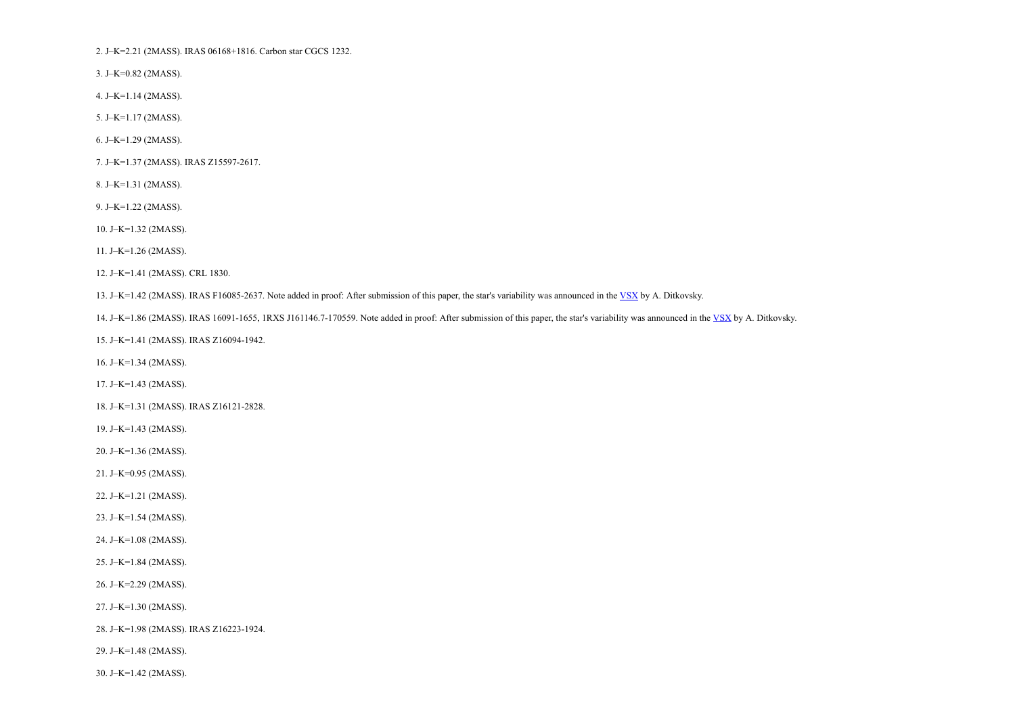2. J–K=2.21 (2MASS). IRAS 06168+1816. Carbon star CGCS 1232.

3. J–K=0.82 (2MASS).

4. J–K=1.14 (2MASS).

5. J–K=1.17 (2MASS).

6. J–K=1.29 (2MASS).

7. J–K=1.37 (2MASS). IRAS Z15597-2617.

8. J–K=1.31 (2MASS).

9. J–K=1.22 (2MASS).

10. J–K=1.32 (2MASS).

11. J–K=1.26 (2MASS).

12. J–K=1.41 (2MASS). CRL 1830.

13. J–K=1.42 (2MASS). IRAS F16085-2637. Note added in proof: After submission of this paper, the star's variability was announced in the [VSX](http://www.aavso.org/vsx/) by A. Ditkovsky.

14. J–K=1.86 (2MASS). IRAS 16091-1655, 1RXS J161146.7-170559. Note added in proof: After submission of this paper, the star's variability was announced in the [VSX](http://www.aavso.org/vsx/) by A. Ditkovsky.

15. J–K=1.41 (2MASS). IRAS Z16094-1942.

16. J–K=1.34 (2MASS).

17. J–K=1.43 (2MASS).

18. J–K=1.31 (2MASS). IRAS Z16121-2828.

19. J–K=1.43 (2MASS).

20. J–K=1.36 (2MASS).

21. J–K=0.95 (2MASS).

22. J–K=1.21 (2MASS).

23. J–K=1.54 (2MASS).

24. J–K=1.08 (2MASS).

25. J–K=1.84 (2MASS).

26. J–K=2.29 (2MASS).

27. J–K=1.30 (2MASS).

28. J–K=1.98 (2MASS). IRAS Z16223-1924.

29. J–K=1.48 (2MASS).

30. J–K=1.42 (2MASS).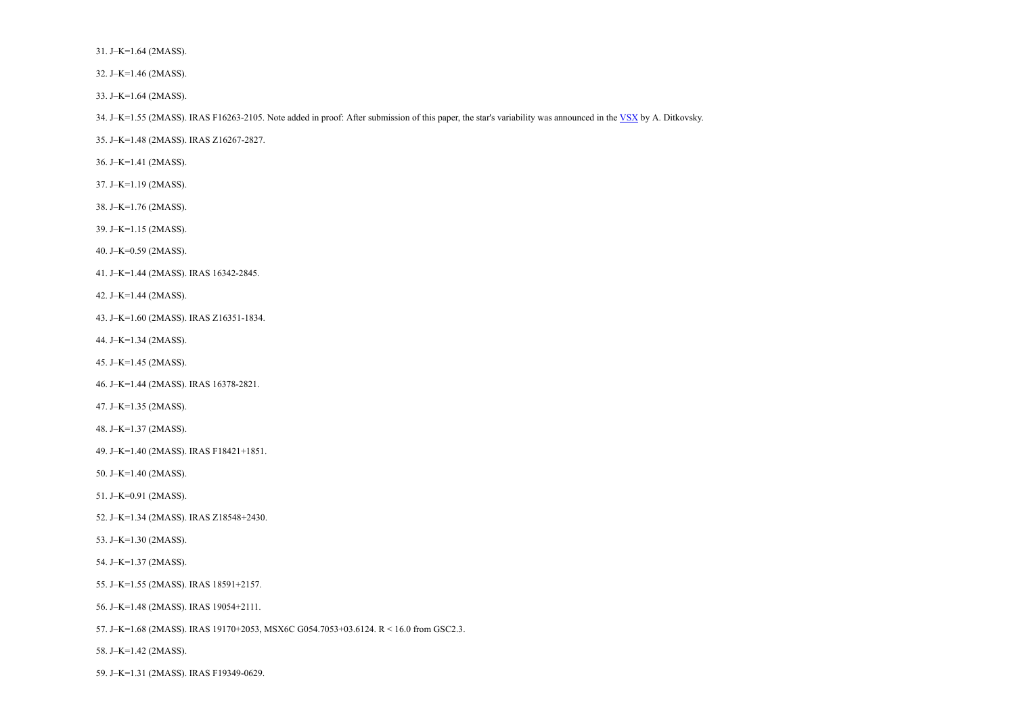31. J–K=1.64 (2MASS).

32. J–K=1.46 (2MASS).

33. J–K=1.64 (2MASS).

34. J–K=1.55 (2MASS). IRAS F16263-2105. Note added in proof: After submission of this paper, the star's variability was announced in the [VSX](http://www.aavso.org/vsx/) by A. Ditkovsky.

35. J–K=1.48 (2MASS). IRAS Z16267-2827.

36. J–K=1.41 (2MASS).

37. J–K=1.19 (2MASS).

38. J–K=1.76 (2MASS).

39. J–K=1.15 (2MASS).

40. J–K=0.59 (2MASS).

41. J–K=1.44 (2MASS). IRAS 16342-2845.

42. J–K=1.44 (2MASS).

43. J–K=1.60 (2MASS). IRAS Z16351-1834.

44. J–K=1.34 (2MASS).

45. J–K=1.45 (2MASS).

46. J–K=1.44 (2MASS). IRAS 16378-2821.

47. J–K=1.35 (2MASS).

48. J–K=1.37 (2MASS).

49. J–K=1.40 (2MASS). IRAS F18421+1851.

50. J–K=1.40 (2MASS).

51. J–K=0.91 (2MASS).

52. J–K=1.34 (2MASS). IRAS Z18548+2430.

53. J–K=1.30 (2MASS).

54. J–K=1.37 (2MASS).

55. J–K=1.55 (2MASS). IRAS 18591+2157.

56. J–K=1.48 (2MASS). IRAS 19054+2111.

57. J–K=1.68 (2MASS). IRAS 19170+2053, MSX6C G054.7053+03.6124. R < 16.0 from GSC2.3.

58. J–K=1.42 (2MASS).

59. J–K=1.31 (2MASS). IRAS F19349-0629.